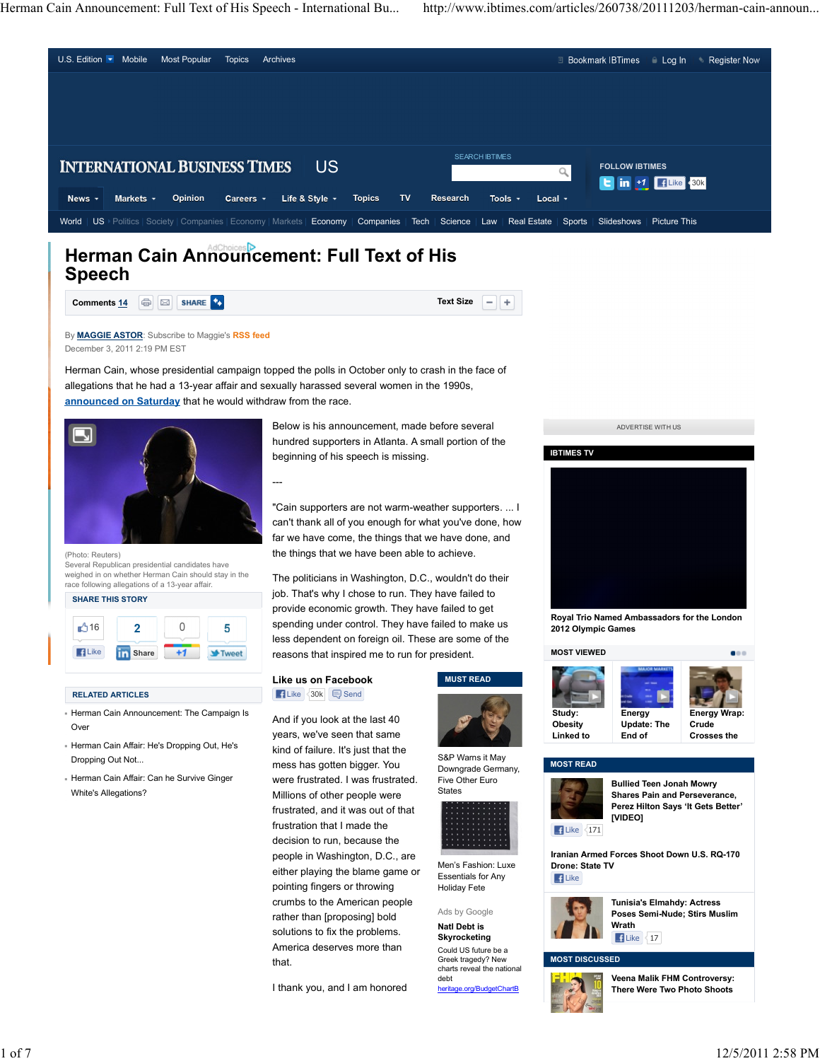

# Herman Cain Announcement: Full Text of His Speech

| <b>Comments 14</b> | $\sim$<br>$\overline{\phantom{a}}$<br>÷<br>м<br>سه | <b>Text Size</b> | - |  |
|--------------------|----------------------------------------------------|------------------|---|--|
|                    |                                                    |                  |   |  |

By **MAGGIE ASTOR:** Subscribe to Maggie's RSS feed December 3, 2011 2:19 PM EST

Herman Cain, whose presidential campaign topped the polls in October only to crash in the face of allegations that he had a 13-year affair and sexually harassed several women in the 1990s, announced on Saturday that he would withdraw from the race.

---



(Photo: Reuters) Several Republican presidential candidates have weighed in on whether Herman Cain should stay in the race following allegations of a 13-year affair.



#### RELATED ARTICLES

- Herman Cain Announcement: The Campaign Is Over
- Herman Cain Affair: He's Dropping Out, He's Dropping Out Not...
- Herman Cain Affair: Can he Survive Ginger White's Allegations?

Below is his announcement, made before several hundred supporters in Atlanta. A small portion of the beginning of his speech is missing.

"Cain supporters are not warm-weather supporters. ... I can't thank all of you enough for what you've done, how far we have come, the things that we have done, and the things that we have been able to achieve.

The politicians in Washington, D.C., wouldn't do their job. That's why I chose to run. They have failed to provide economic growth. They have failed to get spending under control. They have failed to make us less dependent on foreign oil. These are some of the reasons that inspired me to run for president.

# Like us on Facebook

Like 30k Send

And if you look at the last 40 years, we've seen that same kind of failure. It's just that the mess has gotten bigger. You were frustrated. I was frustrated. Millions of other people were frustrated, and it was out of that frustration that I made the decision to run, because the people in Washington, D.C., are either playing the blame game or pointing fingers or throwing crumbs to the American people rather than [proposing] bold solutions to fix the problems. America deserves more than that.

I thank you, and I am honored



S&P Warns it May Downgrade Germany, Five Other Euro **States** 



Men's Fashion: Luxe Essentials for Any Holiday Fete

Ads by Google

Natl Debt is Skyrocketing Could US future be a Greek tragedy? New charts reveal the national debt heritage.org/BudgetChartB





Royal Trio Named Ambassadors for the London 2012 Olympic Games



#### MOST READ



MOST DISCUSSED

Bullied Teen Jonah Mowry Shares Pain and Perseverance, Perez Hilton Says 'It Gets Better' [VIDEO]

Iranian Armed Forces Shoot Down U.S. RQ-170 Drone: State TV **Like** 



Poses Semi-Nude; Stirs Muslim  $\blacksquare$ Like  $\vert$  17

# Veena Malik FHM Controversy:

There Were Two Photo Shoots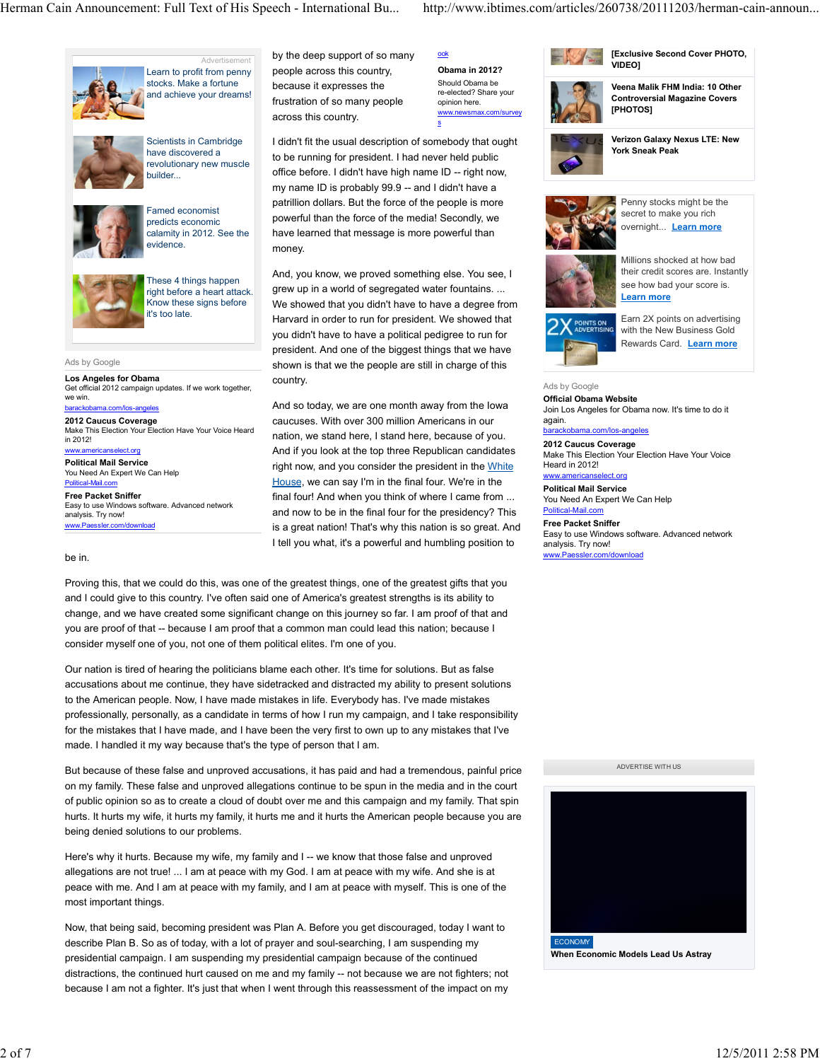Herman Cain Announcement: Full Text of His Speech - International Bu... http://www.ibtimes.com/articles/260738/20111203/herman-cain-announ...

[PHOTOS]



Learn to profit from penny stocks. Make a fortune and achieve your dreams!

Advertisement



Scientists in Cambridge have discovered a revolutionary new muscle builder...



Famed economist predicts economic calamity in 2012. See the evidence.

![](_page_1_Picture_8.jpeg)

These 4 things happen right before a heart attack. Know these signs before it's too late.

Ads by Google

Los Angeles for Obama Get official 2012 campaign updates. If we work together, we win. barackol 2012 Caucus Coverage Make This Election Your Election Have Your Voice Heard in 2012! www.americanselect.org Political Mail Service You Need An Expert We Can Help Political-Mail.com

Free Packet Sniffer Easy to use Windows software. Advanced network analysis. Try now! www.Paessle

be in.

by the deep support of so many people across this country, because it expresses the frustration of so many people across this country.

Obama in 2012? Should Obama be re-elected? Share your opinion here. w newsmay.com/s s

ook

I didn't fit the usual description of somebody that ought to be running for president. I had never held public office before. I didn't have high name ID -- right now, my name ID is probably 99.9 -- and I didn't have a patrillion dollars. But the force of the people is more powerful than the force of the media! Secondly, we have learned that message is more powerful than money.

And, you know, we proved something else. You see, I grew up in a world of segregated water fountains. ... We showed that you didn't have to have a degree from Harvard in order to run for president. We showed that you didn't have to have a political pedigree to run for president. And one of the biggest things that we have shown is that we the people are still in charge of this country.

And so today, we are one month away from the Iowa caucuses. With over 300 million Americans in our nation, we stand here, I stand here, because of you. And if you look at the top three Republican candidates right now, and you consider the president in the White House, we can say I'm in the final four. We're in the final four! And when you think of where I came from ... and now to be in the final four for the presidency? This is a great nation! That's why this nation is so great. And I tell you what, it's a powerful and humbling position to

Proving this, that we could do this, was one of the greatest things, one of the greatest gifts that you and I could give to this country. I've often said one of America's greatest strengths is its ability to change, and we have created some significant change on this journey so far. I am proof of that and you are proof of that -- because I am proof that a common man could lead this nation; because I consider myself one of you, not one of them political elites. I'm one of you.

Our nation is tired of hearing the politicians blame each other. It's time for solutions. But as false accusations about me continue, they have sidetracked and distracted my ability to present solutions to the American people. Now, I have made mistakes in life. Everybody has. I've made mistakes professionally, personally, as a candidate in terms of how I run my campaign, and I take responsibility for the mistakes that I have made, and I have been the very first to own up to any mistakes that I've made. I handled it my way because that's the type of person that I am.

But because of these false and unproved accusations, it has paid and had a tremendous, painful price on my family. These false and unproved allegations continue to be spun in the media and in the court of public opinion so as to create a cloud of doubt over me and this campaign and my family. That spin hurts. It hurts my wife, it hurts my family, it hurts me and it hurts the American people because you are being denied solutions to our problems.

Here's why it hurts. Because my wife, my family and I -- we know that those false and unproved allegations are not true! ... I am at peace with my God. I am at peace with my wife. And she is at peace with me. And I am at peace with my family, and I am at peace with myself. This is one of the most important things.

Now, that being said, becoming president was Plan A. Before you get discouraged, today I want to describe Plan B. So as of today, with a lot of prayer and soul-searching, I am suspending my presidential campaign. I am suspending my presidential campaign because of the continued distractions, the continued hurt caused on me and my family -- not because we are not fighters; not because I am not a fighter. It's just that when I went through this reassessment of the impact on my

![](_page_1_Picture_24.jpeg)

[Exclusive Second Cover PHOTO, VIDEO] Veena Malik FHM India: 10 Other Controversial Magazine Covers

![](_page_1_Picture_27.jpeg)

Verizon Galaxy Nexus LTE: New York Sneak Peak

![](_page_1_Picture_29.jpeg)

Penny stocks might be the secret to make you rich overnight... **Learn more** 

![](_page_1_Picture_31.jpeg)

Millions shocked at how bad their credit scores are. Instantly see how bad your score is. Learn more

![](_page_1_Picture_33.jpeg)

Earn 2X points on advertising with the New Business Gold Rewards Card. Learn more

Ads by Google Official Obama Website Join Los Angeles for Obama now. It's time to do it again. barackobama.com/los-angeles

2012 Caucus Coverage Make This Election Your Election Have Your Voice Heard in 2012! www.americanselect.org

Political Mail Service You Need An Expert We Can Help Political-Mail.com

Free Packet Sniffer Easy to use Windows software. Advanced network analysis. Try now! www.Paessler.com/download

![](_page_1_Picture_39.jpeg)

ADVERTISE WITH US

ECONOMY When Economic Models Lead Us Astray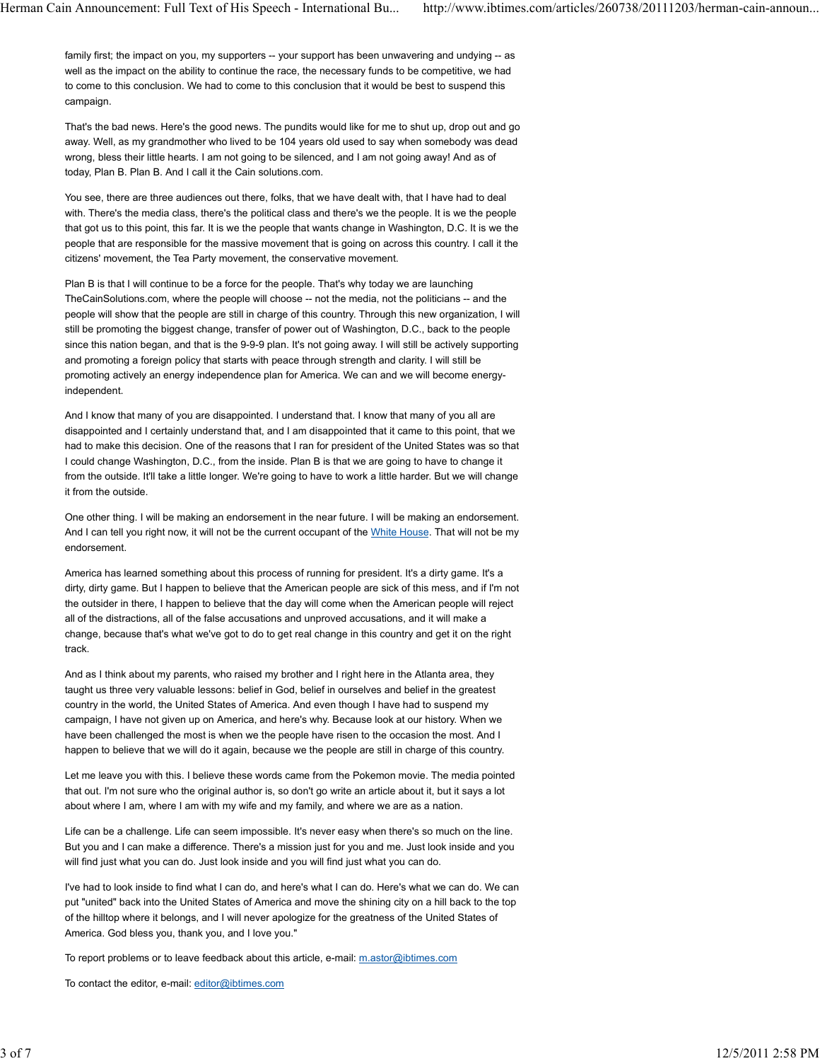family first; the impact on you, my supporters -- your support has been unwavering and undying -- as well as the impact on the ability to continue the race, the necessary funds to be competitive, we had to come to this conclusion. We had to come to this conclusion that it would be best to suspend this campaign.

That's the bad news. Here's the good news. The pundits would like for me to shut up, drop out and go away. Well, as my grandmother who lived to be 104 years old used to say when somebody was dead wrong, bless their little hearts. I am not going to be silenced, and I am not going away! And as of today, Plan B. Plan B. And I call it the Cain solutions.com.

You see, there are three audiences out there, folks, that we have dealt with, that I have had to deal with. There's the media class, there's the political class and there's we the people. It is we the people that got us to this point, this far. It is we the people that wants change in Washington, D.C. It is we the people that are responsible for the massive movement that is going on across this country. I call it the citizens' movement, the Tea Party movement, the conservative movement.

Plan B is that I will continue to be a force for the people. That's why today we are launching TheCainSolutions.com, where the people will choose -- not the media, not the politicians -- and the people will show that the people are still in charge of this country. Through this new organization, I will still be promoting the biggest change, transfer of power out of Washington, D.C., back to the people since this nation began, and that is the 9-9-9 plan. It's not going away. I will still be actively supporting and promoting a foreign policy that starts with peace through strength and clarity. I will still be promoting actively an energy independence plan for America. We can and we will become energyindependent.

And I know that many of you are disappointed. I understand that. I know that many of you all are disappointed and I certainly understand that, and I am disappointed that it came to this point, that we had to make this decision. One of the reasons that I ran for president of the United States was so that I could change Washington, D.C., from the inside. Plan B is that we are going to have to change it from the outside. It'll take a little longer. We're going to have to work a little harder. But we will change it from the outside.

One other thing. I will be making an endorsement in the near future. I will be making an endorsement. And I can tell you right now, it will not be the current occupant of the White House. That will not be my endorsement.

America has learned something about this process of running for president. It's a dirty game. It's a dirty, dirty game. But I happen to believe that the American people are sick of this mess, and if I'm not the outsider in there, I happen to believe that the day will come when the American people will reject all of the distractions, all of the false accusations and unproved accusations, and it will make a change, because that's what we've got to do to get real change in this country and get it on the right track.

And as I think about my parents, who raised my brother and I right here in the Atlanta area, they taught us three very valuable lessons: belief in God, belief in ourselves and belief in the greatest country in the world, the United States of America. And even though I have had to suspend my campaign, I have not given up on America, and here's why. Because look at our history. When we have been challenged the most is when we the people have risen to the occasion the most. And I happen to believe that we will do it again, because we the people are still in charge of this country.

Let me leave you with this. I believe these words came from the Pokemon movie. The media pointed that out. I'm not sure who the original author is, so don't go write an article about it, but it says a lot about where I am, where I am with my wife and my family, and where we are as a nation.

Life can be a challenge. Life can seem impossible. It's never easy when there's so much on the line. But you and I can make a difference. There's a mission just for you and me. Just look inside and you will find just what you can do. Just look inside and you will find just what you can do.

I've had to look inside to find what I can do, and here's what I can do. Here's what we can do. We can put "united" back into the United States of America and move the shining city on a hill back to the top of the hilltop where it belongs, and I will never apologize for the greatness of the United States of America. God bless you, thank you, and I love you."

To report problems or to leave feedback about this article, e-mail: m.astor@ibtimes.com

To contact the editor, e-mail: editor@ibtimes.com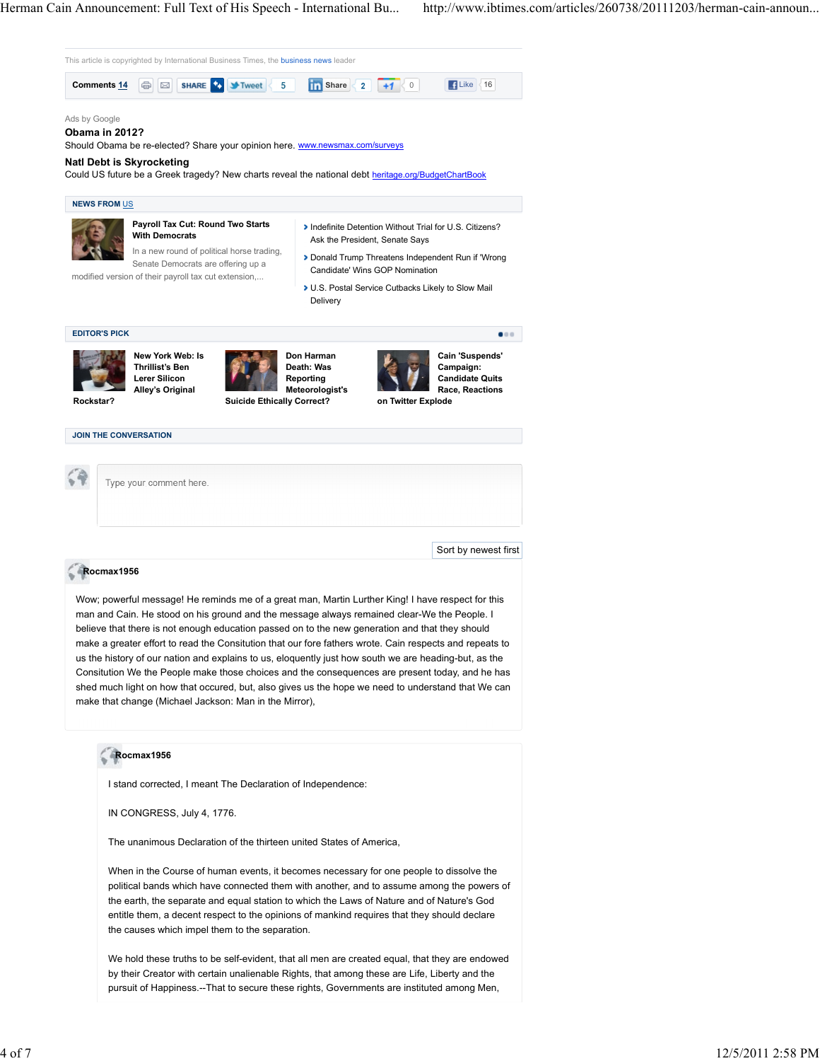![](_page_3_Picture_2.jpeg)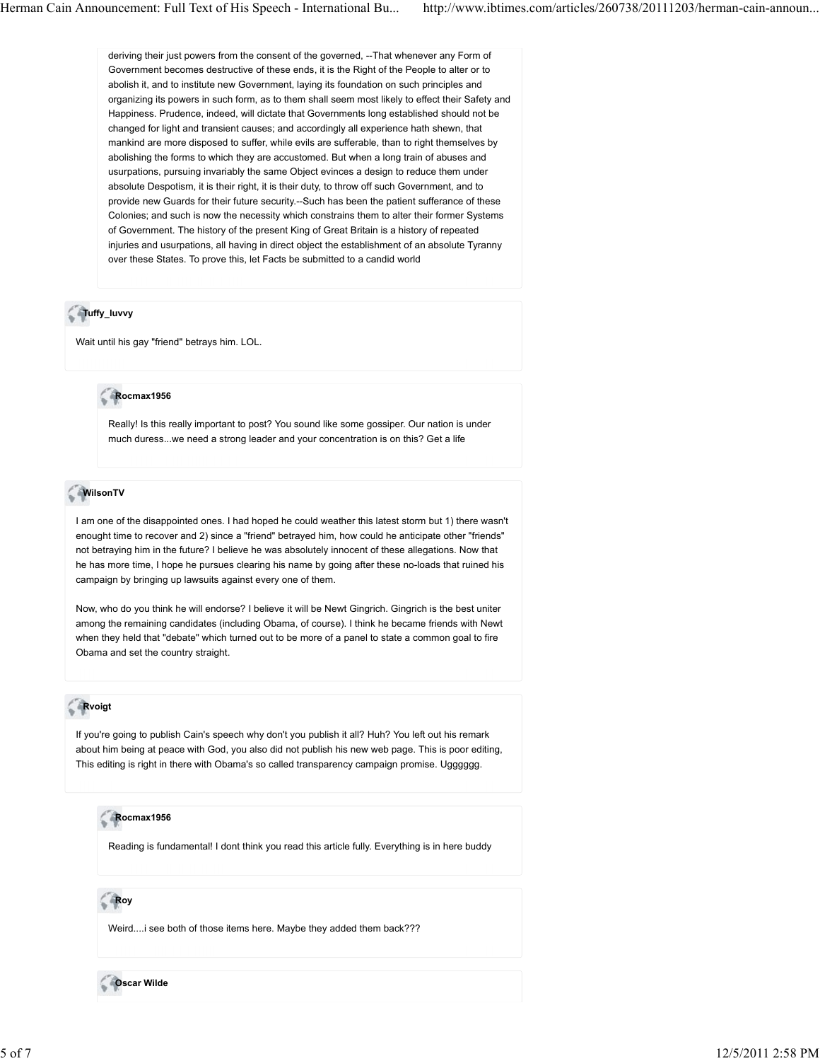deriving their just powers from the consent of the governed, --That whenever any Form of Government becomes destructive of these ends, it is the Right of the People to alter or to abolish it, and to institute new Government, laying its foundation on such principles and organizing its powers in such form, as to them shall seem most likely to effect their Safety and Happiness. Prudence, indeed, will dictate that Governments long established should not be changed for light and transient causes; and accordingly all experience hath shewn, that mankind are more disposed to suffer, while evils are sufferable, than to right themselves by abolishing the forms to which they are accustomed. But when a long train of abuses and usurpations, pursuing invariably the same Object evinces a design to reduce them under absolute Despotism, it is their right, it is their duty, to throw off such Government, and to provide new Guards for their future security.--Such has been the patient sufferance of these Colonies; and such is now the necessity which constrains them to alter their former Systems of Government. The history of the present King of Great Britain is a history of repeated injuries and usurpations, all having in direct object the establishment of an absolute Tyranny over these States. To prove this, let Facts be submitted to a candid world

#### **Tuffy\_luvvy**

Wait until his gay "friend" betrays him. LOL.

### Rocmax1956

Really! Is this really important to post? You sound like some gossiper. Our nation is under much duress...we need a strong leader and your concentration is on this? Get a life

### WilsonTV

I am one of the disappointed ones. I had hoped he could weather this latest storm but 1) there wasn't enought time to recover and 2) since a "friend" betrayed him, how could he anticipate other "friends" not betraying him in the future? I believe he was absolutely innocent of these allegations. Now that he has more time, I hope he pursues clearing his name by going after these no-loads that ruined his campaign by bringing up lawsuits against every one of them.

Now, who do you think he will endorse? I believe it will be Newt Gingrich. Gingrich is the best uniter among the remaining candidates (including Obama, of course). I think he became friends with Newt when they held that "debate" which turned out to be more of a panel to state a common goal to fire Obama and set the country straight.

### Rvoigt

If you're going to publish Cain's speech why don't you publish it all? Huh? You left out his remark about him being at peace with God, you also did not publish his new web page. This is poor editing, This editing is right in there with Obama's so called transparency campaign promise. Ugggggg.

![](_page_4_Picture_12.jpeg)

Reading is fundamental! I dont think you read this article fully. Everything is in here buddy

### Roy

Weird....i see both of those items here. Maybe they added them back???

![](_page_4_Picture_16.jpeg)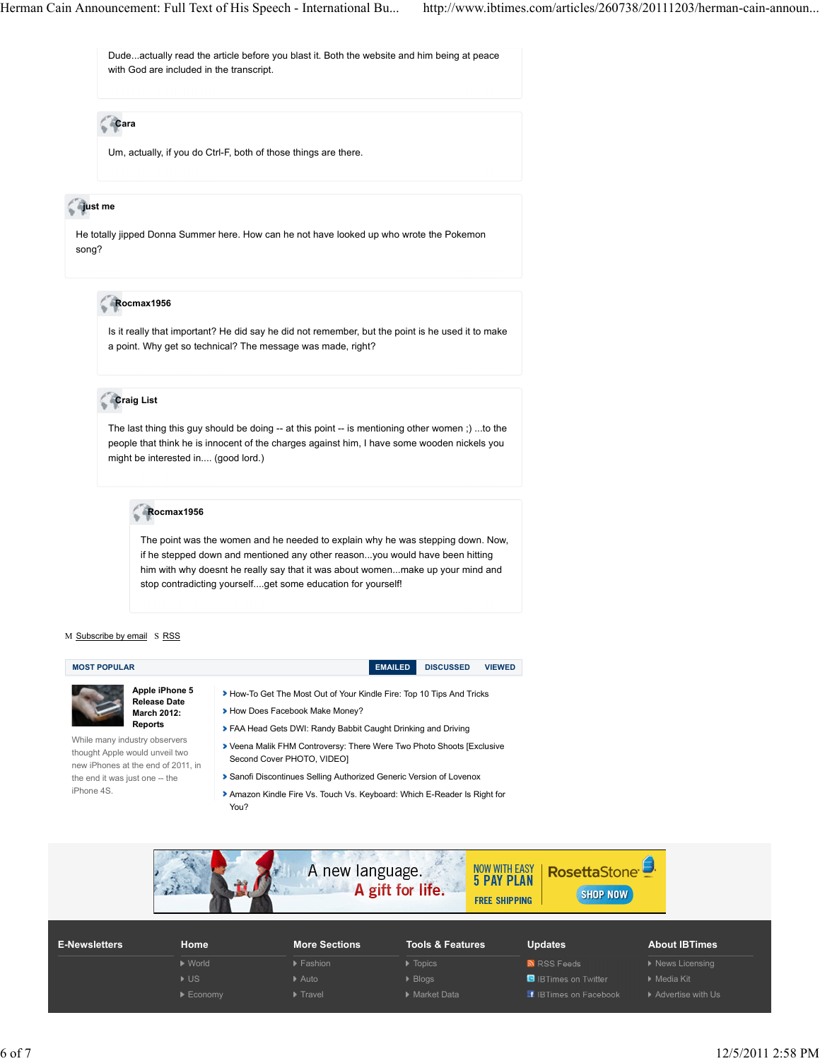![](_page_5_Picture_2.jpeg)

## Cara

Um, actually, if you do Ctrl-F, both of those things are there.

### just me

He totally jipped Donna Summer here. How can he not have looked up who wrote the Pokemon song?

### Rocmax1956

Is it really that important? He did say he did not remember, but the point is he used it to make a point. Why get so technical? The message was made, right?

### Craig List

The last thing this guy should be doing -- at this point -- is mentioning other women ;) ...to the people that think he is innocent of the charges against him, I have some wooden nickels you might be interested in.... (good lord.)

#### Rocmax1956

The point was the women and he needed to explain why he was stepping down. Now, if he stepped down and mentioned any other reason...you would have been hitting him with why doesnt he really say that it was about women...make up your mind and stop contradicting yourself....get some education for yourself!

#### M Subscribe by email S RSS

![](_page_5_Picture_14.jpeg)

 $\blacktriangleright$  Travel

![](_page_5_Picture_15.jpeg)

▶ Market Data

▶ Advertise with Us

LE IBTimes on Facebook